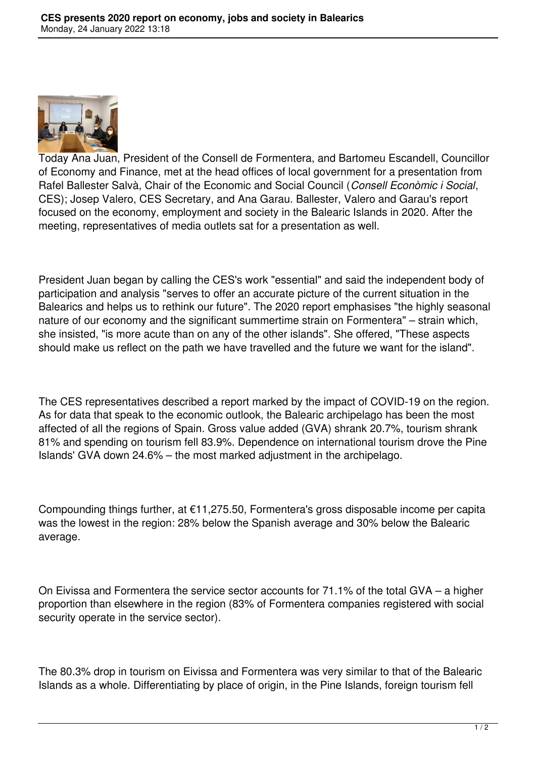

Today Ana Juan, President of the Consell de Formentera, and Bartomeu Escandell, Councillor of Economy and Finance, met at the head offices of local government for a presentation from Rafel Ballester Salvà, Chair of the Economic and Social Council (*Consell Econòmic i Social*, CES); Josep Valero, CES Secretary, and Ana Garau. Ballester, Valero and Garau's report focused on the economy, employment and society in the Balearic Islands in 2020. After the meeting, representatives of media outlets sat for a presentation as well.

President Juan began by calling the CES's work "essential" and said the independent body of participation and analysis "serves to offer an accurate picture of the current situation in the Balearics and helps us to rethink our future". The 2020 report emphasises "the highly seasonal nature of our economy and the significant summertime strain on Formentera" – strain which, she insisted, "is more acute than on any of the other islands". She offered, "These aspects should make us reflect on the path we have travelled and the future we want for the island".

The CES representatives described a report marked by the impact of COVID-19 on the region. As for data that speak to the economic outlook, the Balearic archipelago has been the most affected of all the regions of Spain. Gross value added (GVA) shrank 20.7%, tourism shrank 81% and spending on tourism fell 83.9%. Dependence on international tourism drove the Pine Islands' GVA down 24.6% – the most marked adjustment in the archipelago.

Compounding things further, at €11,275.50, Formentera's gross disposable income per capita was the lowest in the region: 28% below the Spanish average and 30% below the Balearic average.

On Eivissa and Formentera the service sector accounts for 71.1% of the total GVA – a higher proportion than elsewhere in the region (83% of Formentera companies registered with social security operate in the service sector).

The 80.3% drop in tourism on Eivissa and Formentera was very similar to that of the Balearic Islands as a whole. Differentiating by place of origin, in the Pine Islands, foreign tourism fell